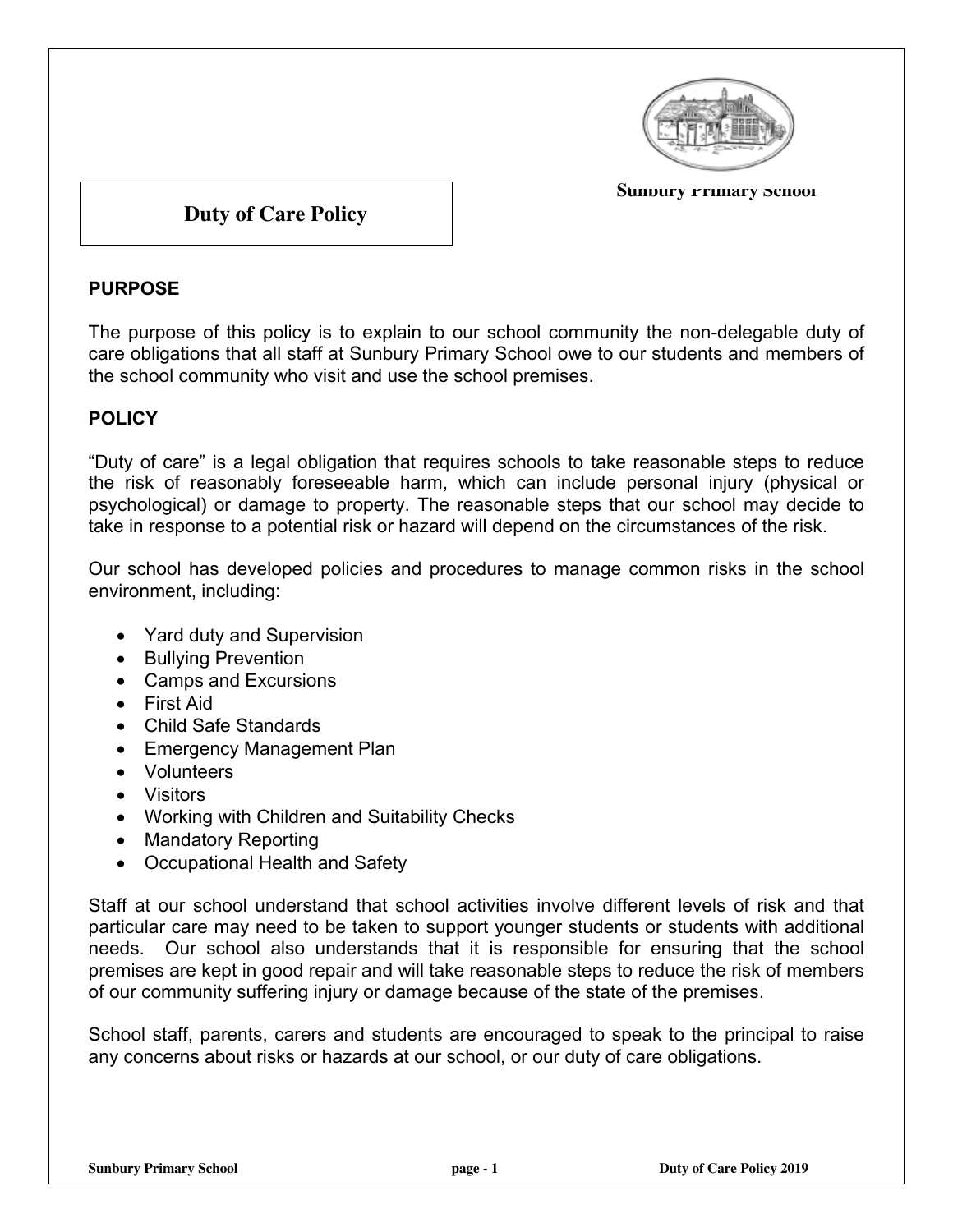

#### **Sundury Primary School**

# **Duty of Care Policy**

### **PURPOSE**

The purpose of this policy is to explain to our school community the non-delegable duty of care obligations that all staff at Sunbury Primary School owe to our students and members of the school community who visit and use the school premises.

## **POLICY**

"Duty of care" is a legal obligation that requires schools to take reasonable steps to reduce the risk of reasonably foreseeable harm, which can include personal injury (physical or psychological) or damage to property. The reasonable steps that our school may decide to take in response to a potential risk or hazard will depend on the circumstances of the risk.

Our school has developed policies and procedures to manage common risks in the school environment, including:

- Yard duty and Supervision
- Bullying Prevention
- Camps and Excursions
- First Aid
- Child Safe Standards
- Emergency Management Plan
- Volunteers
- Visitors
- Working with Children and Suitability Checks
- Mandatory Reporting
- Occupational Health and Safety

Staff at our school understand that school activities involve different levels of risk and that particular care may need to be taken to support younger students or students with additional needs. Our school also understands that it is responsible for ensuring that the school premises are kept in good repair and will take reasonable steps to reduce the risk of members of our community suffering injury or damage because of the state of the premises.

School staff, parents, carers and students are encouraged to speak to the principal to raise any concerns about risks or hazards at our school, or our duty of care obligations.